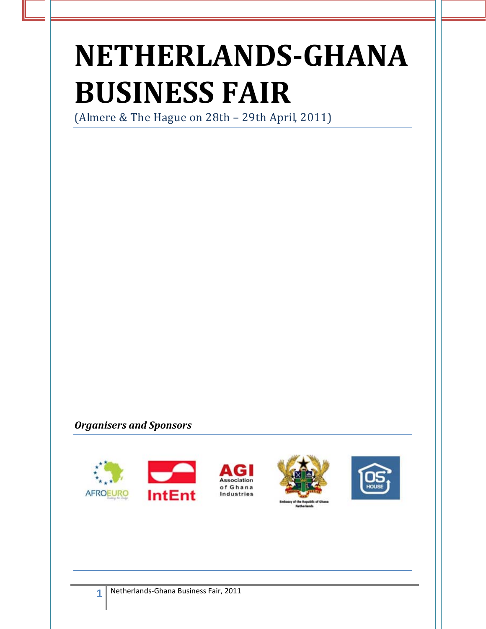# **NETHERLANDS‐GHANA BUSINESS FAIR**

(Almere & The Hague on 28th - 29th April, 2011)

# *Organisers and Sponsors*





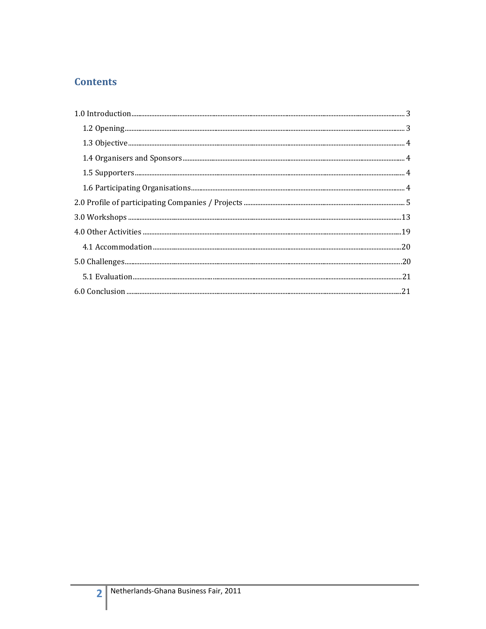# **Contents**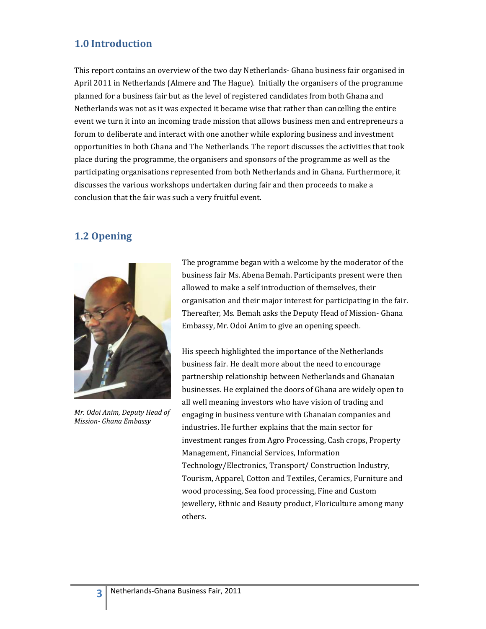# **1.0 Introduction**

This report contains an overview of the two day Netherlands- Ghana business fair organised in April 2011 in Netherlands (Almere and The Hague). Initially the organisers of the programme planned for a business fair but as the level of registered candidates from both Ghana and Netherlands was not as it was expected it became wise that rather than cancelling the entire event we turn it into an incoming trade mission that allows business men and entrepreneurs a forum to deliberate and interact with one another while exploring business and investment opportunities in both Ghana and The Netherlands. The report discusses the activities that took place during the programme, the organisers and sponsors of the programme as well as the participating organisations represented from both Netherlands and in Ghana. Furthermore, it discusses the various workshops undertaken during fair and then proceeds to make a conclusion that the fair was such a very fruitful event.

# **1.2 Opening**



*Mr. Odoi Anim, Deputy Head of Mission‐ Ghana Embassy*

The programme began with a welcome by the moderator of the business fair Ms. Abena Bemah. Participants present were then allowed to make a self introduction of themselves, their organisation and their major interest for participating in the fair. Thereafter, Ms. Bemah asks the Deputy Head of Mission- Ghana Embassy, Mr. Odoi Anim to give an opening speech.

His speech highlighted the importance of the Netherlands business fair. He dealt more about the need to encourage partnership relationship between Netherlands and Ghanaian businesses. He explained the doors of Ghana are widely open to all well meaning investors who have vision of trading and engaging in business venture with Ghanaian companies and industries. He further explains that the main sector for investment ranges from Agro Processing, Cash crops, Property Management, Financial Services, Information Technology/Electronics, Transport/ Construction Industry, Tourism, Apparel, Cotton and Textiles, Ceramics, Furniture and wood processing, Sea food processing, Fine and Custom jewellery, Ethnic and Beauty product, Floriculture among many others.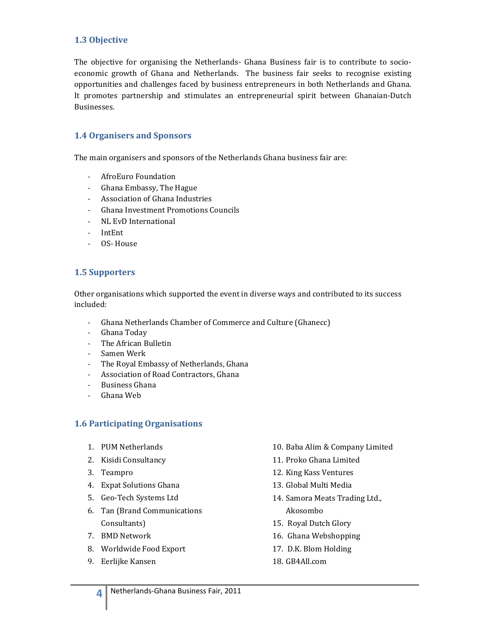#### 1.3 Objective

The objective for organising the Netherlands– Ghana Business fair is to contribute to socio– economic growth of Ghana and Netherlands. The business fair seeks to recognise existing opportunities and challenges faced by business entrepreneurs in both Netherlands and Ghana. It promotes partnership and stimulates an entrepreneurial spirit between Ghanaian-Dutch Businesses. 

#### **1.4 Organisers and Sponsors**

The main organisers and sponsors of the Netherlands Ghana business fair are:

- AfroEuro Foundation
- Ghana Embassy, The Hague
- Association of Ghana Industries
- Ghana Investment Promotions Councils
- NL EvD International
- ‐ IntEnt
- ‐ OS‐ House

#### **1.5 Supporters**

Other organisations which supported the event in diverse ways and contributed to its success included: 

- Ghana Netherlands Chamber of Commerce and Culture (Ghanecc)
- Ghana Today
- The African Bulletin
- ‐ Samen Werk
- The Royal Embassy of Netherlands, Ghana
- Association of Road Contractors, Ghana
- ‐ Business Ghana
- ‐ Ghana Web

#### **1.6 Participating Organisations**

- 1. PUM Netherlands
- 2. Kisidi Consultancy
- 3. Teampro
- 4. Expat Solutions Ghana
- 5. Geo‐Tech Systems Ltd
- 6. Tan (Brand Communications Consultants)
- 7. BMD Network
- 8. Worldwide Food Export
- 9. Eerlijke Kansen
- 10. Baba Alim & Company Limited
- 11. Proko Ghana Limited
- 12. King Kass Ventures
- 13. Global Multi Media
- 14. Samora Meats Trading Ltd., Akosombo
- 15. Royal Dutch Glory
- 16. Ghana Webshopping
- 17. D.K. Blom Holding
- 18. GB4All.com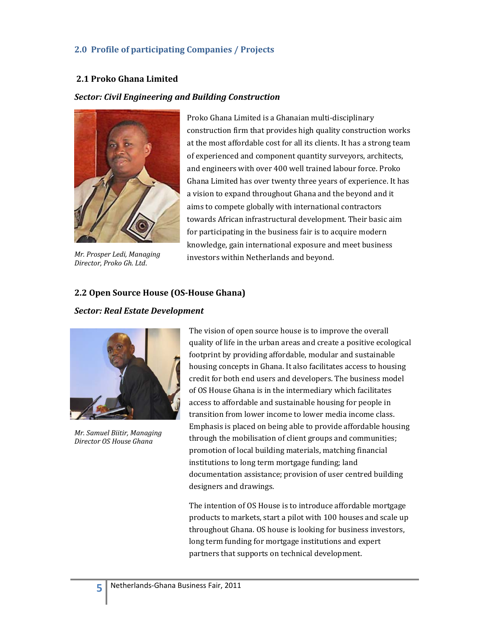#### **2.0 Profile of participating Companies / Projects**

#### **2.1 Proko Ghana Limited**

#### *Sector: Civil Engineering and Building Construction*



*Mr. Prosper Ledi, Managing Director, Proko Gh. Ltd*. 

Proko Ghana Limited is a Ghanaian multi-disciplinary construction firm that provides high quality construction works at the most affordable cost for all its clients. It has a strong team of experienced and component quantity surveyors, architects, and engineers with over 400 well trained labour force. Proko Ghana Limited has over twenty three years of experience. It has a vision to expand throughout Ghana and the beyond and it aims to compete globally with international contractors towards African infrastructural development. Their basic aim for participating in the business fair is to acquire modern knowledge, gain international exposure and meet business investors within Netherlands and beyond.

#### **2.2 Open Source House (OS‐House Ghana)**

#### *Sector: Real Estate Development*



*Mr. Samuel Biitir, Managing Director OS House Ghana*

The vision of open source house is to improve the overall quality of life in the urban areas and create a positive ecological footprint by providing affordable, modular and sustainable housing concepts in Ghana. It also facilitates access to housing credit for both end users and developers. The business model of OS House Ghana is in the intermediary which facilitates access to affordable and sustainable housing for people in transition from lower income to lower media income class. Emphasis is placed on being able to provide affordable housing through the mobilisation of client groups and communities; promotion of local building materials, matching financial institutions to long term mortgage funding; land documentation assistance; provision of user centred building designers and drawings.

The intention of OS House is to introduce affordable mortgage products to markets, start a pilot with 100 houses and scale up throughout Ghana. OS house is looking for business investors, long term funding for mortgage institutions and expert partners that supports on technical development.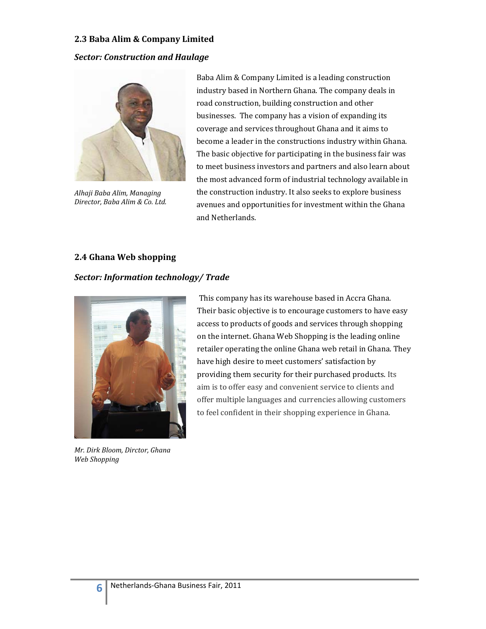#### **2.3 Baba Alim & Company Limited**

#### *Sector: Construction and Haulage*



*Alhaji Baba Alim, Managing Director, Baba Alim & Co. Ltd.*

Baba Alim & Company Limited is a leading construction industry based in Northern Ghana. The company deals in road construction, building construction and other businesses. The company has a vision of expanding its coverage and services throughout Ghana and it aims to become a leader in the constructions industry within Ghana. The basic objective for participating in the business fair was to meet business investors and partners and also learn about the most advanced form of industrial technology available in the construction industry. It also seeks to explore business avenues and opportunities for investment within the Ghana and Netherlands.

#### **2.4 Ghana Web shopping**

#### *Sector: Information technology/ Trade*



*Mr. Dirk Bloom, Dirctor, Ghana Web Shopping*

This company has its warehouse based in Accra Ghana. Their basic objective is to encourage customers to have easy access to products of goods and services through shopping on the internet. Ghana Web Shopping is the leading online retailer operating the online Ghana web retail in Ghana. They have high desire to meet customers' satisfaction by providing them security for their purchased products. Its aim is to offer easy and convenient service to clients and offer multiple languages and currencies allowing customers to feel confident in their shopping experience in Ghana.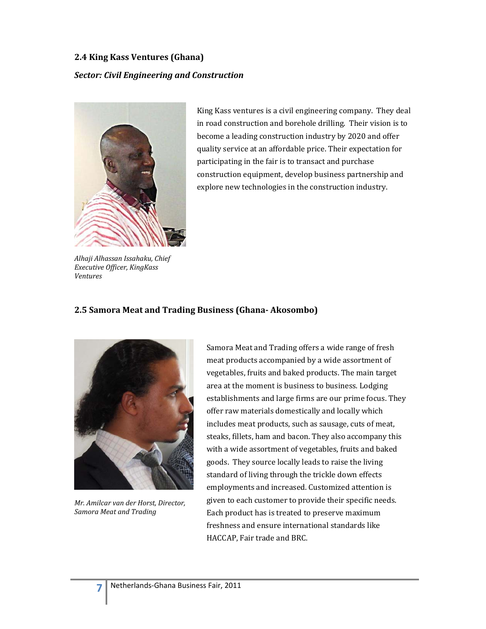# **2.4 King Kass Ventures (Ghana)** *Sector: Civil Engineering and Construction*



King Kass ventures is a civil engineering company. They deal in road construction and borehole drilling. Their vision is to become a leading construction industry by 2020 and offer quality service at an affordable price. Their expectation for participating in the fair is to transact and purchase construction equipment, develop business partnership and explore new technologies in the construction industry.

*Alhaji Alhassan Issahaku, Chief Executive Officer, KingKass Ventures*

# **2.5 Samora Meat and Trading Business (Ghana‐ Akosombo)**



*Mr. Amilcar van der Horst, Director, Samora Meat and Trading*

Samora Meat and Trading offers a wide range of fresh meat products accompanied by a wide assortment of vegetables, fruits and baked products. The main target area at the moment is business to business. Lodging establishments and large firms are our prime focus. They offer raw materials domestically and locally which includes meat products, such as sausage, cuts of meat, steaks, fillets, ham and bacon. They also accompany this with a wide assortment of vegetables, fruits and baked goods. They source locally leads to raise the living standard of living through the trickle down effects employments and increased. Customized attention is given to each customer to provide their specific needs. Each product has is treated to preserve maximum freshness and ensure international standards like HACCAP, Fair trade and BRC.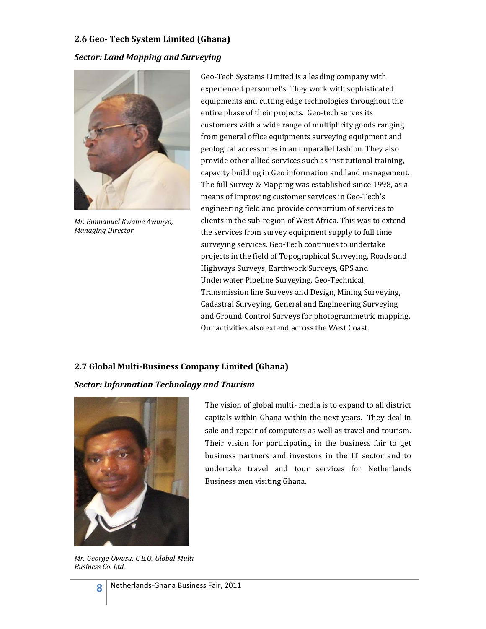#### **2.6 Geo‐ Tech System Limited (Ghana)**

#### *Sector: Land Mapping and Surveying*



*Mr. Emmanuel Kwame Awunyo, Managing Director*

Geo-Tech Systems Limited is a leading company with experienced personnel's. They work with sophisticated equipments and cutting edge technologies throughout the entire phase of their projects. Geo-tech serves its customers with a wide range of multiplicity goods ranging from general office equipments surveying equipment and geological accessories in an unparallel fashion. They also provide other allied services such as institutional training, capacity building in Geo information and land management. The full Survey & Mapping was established since 1998, as a means of improving customer services in Geo-Tech's engineering field and provide consortium of services to clients in the sub-region of West Africa. This was to extend the services from survey equipment supply to full time surveying services. Geo-Tech continues to undertake projects in the field of Topographical Surveying, Roads and Highways Surveys, Earthwork Surveys, GPS and Underwater Pipeline Surveying, Geo-Technical, Transmission line Surveys and Design, Mining Surveying, Cadastral Surveying, General and Engineering Surveying and Ground Control Surveys for photogrammetric mapping. Our activities also extend across the West Coast.

#### **2.7 Global Multi‐Business Company Limited (Ghana)**

#### *Sector: Information Technology and Tourism*



The vision of global multi- media is to expand to all district capitals within Ghana within the next years. They deal in sale and repair of computers as well as travel and tourism. Their vision for participating in the business fair to get business partners and investors in the IT sector and to undertake travel and tour services for Netherlands Business men visiting Ghana.

*Mr. George Owusu, C.E.O. Global Multi Business Co. Ltd.*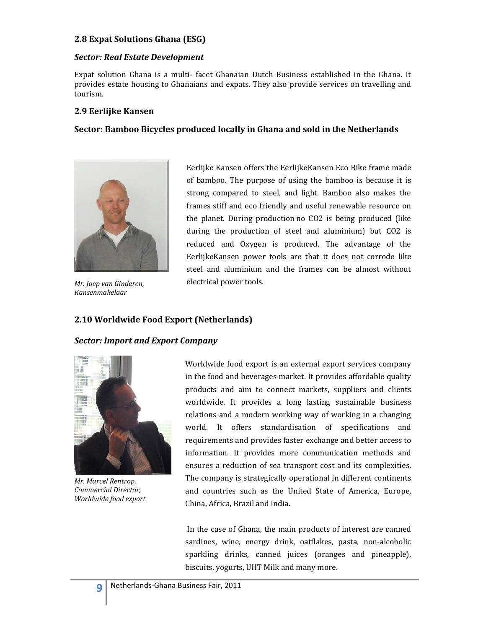#### **2.8 Expat Solutions Ghana (ESG)**

#### *Sector: Real Estate Development*

Expat solution Ghana is a multi- facet Ghanaian Dutch Business established in the Ghana. It provides estate housing to Ghanaians and expats. They also provide services on travelling and tourism. 

#### **2.9 Eerlijke Kansen**

#### **Sector: Bamboo Bicycles produced locally in Ghana and sold in the Netherlands**



*Mr. Joep van Ginderen, Kansenmakelaar*

Eerlijke Kansen offers the EerlijkeKansen Eco Bike frame made of bamboo. The purpose of using the bamboo is because it is strong compared to steel, and light. Bamboo also makes the frames stiff and eco friendly and useful renewable resource on the planet. During production no CO2 is being produced (like during the production of steel and aluminium) but CO2 is reduced and Oxygen is produced. The advantage of the EerlijkeKansen power tools are that it does not corrode like steel and aluminium and the frames can be almost without electrical power tools.

#### **2.10 Worldwide Food Export (Netherlands)**

#### *Sector: Import and Export Company*



*Mr. Marcel Rentrop, Commercial Director, Worldwide food export*

Worldwide food export is an external export services company in the food and beverages market. It provides affordable quality products and aim to connect markets, suppliers and clients worldwide. It provides a long lasting sustainable business relations and a modern working way of working in a changing world. It offers standardisation of specifications and requirements and provides faster exchange and better access to information. It provides more communication methods and ensures a reduction of sea transport cost and its complexities. The company is strategically operational in different continents and countries such as the United State of America, Europe, China, Africa, Brazil and India.

In the case of Ghana, the main products of interest are canned sardines, wine, energy drink, oatflakes, pasta, non-alcoholic sparkling drinks, canned juices (oranges and pineapple), biscuits, yogurts, UHT Milk and many more.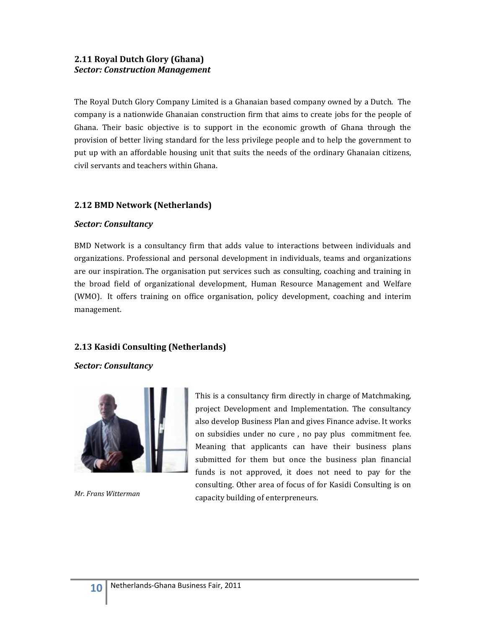#### **2.11 Royal Dutch Glory (Ghana)** *Sector: Construction Management*

The Royal Dutch Glory Company Limited is a Ghanaian based company owned by a Dutch. The company is a nationwide Ghanaian construction firm that aims to create jobs for the people of Ghana. Their basic objective is to support in the economic growth of Ghana through the provision of better living standard for the less privilege people and to help the government to put up with an affordable housing unit that suits the needs of the ordinary Ghanaian citizens, civil servants and teachers within Ghana.

#### **2.12 BMD Network (Netherlands)**

#### *Sector: Consultancy*

BMD Network is a consultancy firm that adds value to interactions between individuals and organizations. Professional and personal development in individuals, teams and organizations are our inspiration. The organisation put services such as consulting, coaching and training in the broad field of organizational development, Human Resource Management and Welfare (WMO). It offers training on office organisation, policy development, coaching and interim management. 

#### **2.13 Kasidi Consulting (Netherlands)**

#### *Sector: Consultancy*



This is a consultancy firm directly in charge of Matchmaking, project Development and Implementation. The consultancy also develop Business Plan and gives Finance advise. It works on subsidies under no cure, no pay plus commitment fee. Meaning that applicants can have their business plans submitted for them but once the business plan financial funds is not approved, it does not need to pay for the consulting. Other area of focus of for Kasidi Consulting is on *Mr. Frans Witterman* capacity building of enterpreneurs.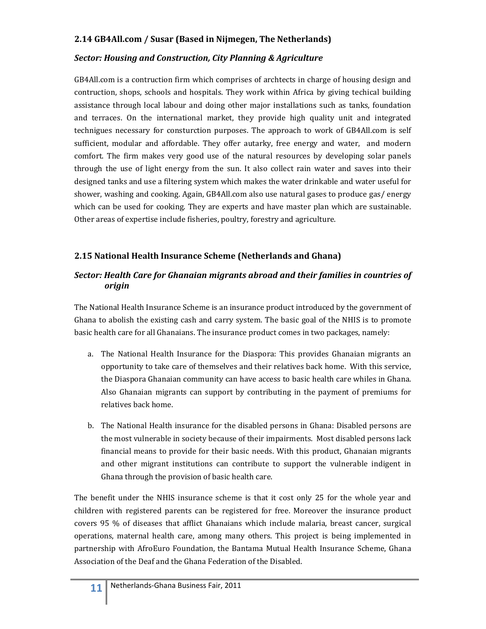# **2.14 GB4All.com / Susar (Based in Nijmegen, The Netherlands)**

# *Sector: Housing and Construction, City Planning & Agriculture*

GB4All.com is a contruction firm which comprises of archtects in charge of housing design and contruction, shops, schools and hospitals. They work within Africa by giving techical building assistance through local labour and doing other major installations such as tanks, foundation and terraces. On the international market, they provide high quality unit and integrated technigues necessary for consturction purposes. The approach to work of GB4All.com is self sufficient, modular and affordable. They offer autarky, free energy and water, and modern comfort. The firm makes very good use of the natural resources by developing solar panels through the use of light energy from the sun. It also collect rain water and saves into their designed tanks and use a filtering system which makes the water drinkable and water useful for shower, washing and cooking. Again, GB4All.com also use natural gases to produce gas/ energy which can be used for cooking. They are experts and have master plan which are sustainable. Other areas of expertise include fisheries, poultry, forestry and agriculture.

# **2.15 National Health Insurance Scheme (Netherlands and Ghana)**

# *Sector: Health Care for Ghanaian migrants abroad and their families in countries of origin*

The National Health Insurance Scheme is an insurance product introduced by the government of Ghana to abolish the existing cash and carry system. The basic goal of the NHIS is to promote basic health care for all Ghanaians. The insurance product comes in two packages, namely:

- a. The National Health Insurance for the Diaspora: This provides Ghanaian migrants an opportunity to take care of themselves and their relatives back home. With this service, the Diaspora Ghanaian community can have access to basic health care whiles in Ghana. Also Ghanaian migrants can support by contributing in the payment of premiums for relatives back home.
- b. The National Health insurance for the disabled persons in Ghana: Disabled persons are the most vulnerable in society because of their impairments. Most disabled persons lack financial means to provide for their basic needs. With this product, Ghanaian migrants and other migrant institutions can contribute to support the vulnerable indigent in Ghana through the provision of basic health care.

The benefit under the NHIS insurance scheme is that it cost only 25 for the whole year and children with registered parents can be registered for free. Moreover the insurance product covers  $95\%$  of diseases that afflict Ghanaians which include malaria, breast cancer, surgical operations, maternal health care, among many others. This project is being implemented in partnership with AfroEuro Foundation, the Bantama Mutual Health Insurance Scheme, Ghana Association of the Deaf and the Ghana Federation of the Disabled.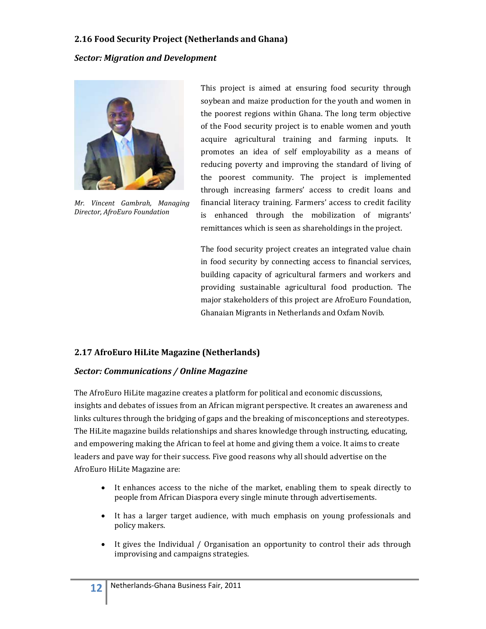# **2.16 Food Security Project (Netherlands and Ghana)**

#### *Sector: Migration and Development*



*Mr. Vincent Gambrah, Managing Director, AfroEuro Foundation*

This project is aimed at ensuring food security through soybean and maize production for the youth and women in the poorest regions within Ghana. The long term objective of the Food security project is to enable women and youth acquire agricultural training and farming inputs. It promotes an idea of self employability as a means of reducing poverty and improving the standard of living of the poorest community. The project is implemented through increasing farmers' access to credit loans and financial literacy training. Farmers' access to credit facility is enhanced through the mobilization of migrants' remittances which is seen as shareholdings in the project.

The food security project creates an integrated value chain in food security by connecting access to financial services, building capacity of agricultural farmers and workers and providing sustainable agricultural food production. The major stakeholders of this project are AfroEuro Foundation, Ghanaian Migrants in Netherlands and Oxfam Novib.

#### **2.17 AfroEuro HiLite Magazine (Netherlands)**

#### *Sector: Communications / Online Magazine*

The AfroEuro HiLite magazine creates a platform for political and economic discussions, insights and debates of issues from an African migrant perspective. It creates an awareness and links cultures through the bridging of gaps and the breaking of misconceptions and stereotypes. The HiLite magazine builds relationships and shares knowledge through instructing, educating, and empowering making the African to feel at home and giving them a voice. It aims to create leaders and pave way for their success. Five good reasons why all should advertise on the AfroEuro HiLite Magazine are:

- It enhances access to the niche of the market, enabling them to speak directly to people from African Diaspora every single minute through advertisements.
- It has a larger target audience, with much emphasis on young professionals and policy makers.
- It gives the Individual / Organisation an opportunity to control their ads through improvising and campaigns strategies.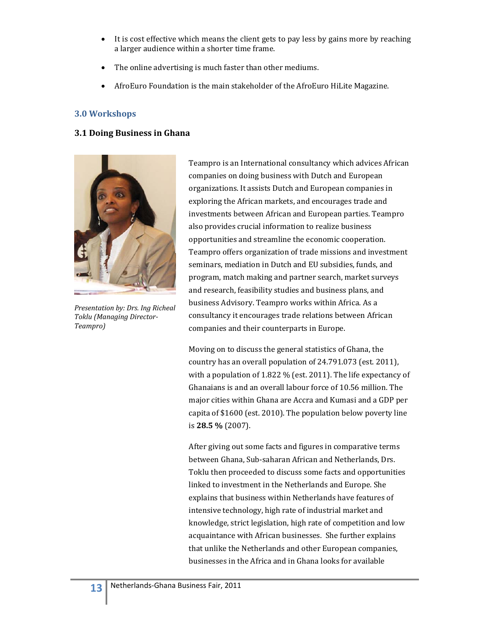- $\bullet$  It is cost effective which means the client gets to pay less by gains more by reaching a larger audience within a shorter time frame.
- The online advertising is much faster than other mediums.
- AfroEuro Foundation is the main stakeholder of the AfroEuro HiLite Magazine.

#### **3.0 Workshops**

#### **3.1 Doing Business in Ghana**



*Presentation by: Drs. Ing Richeal Toklu (Managing Director‐ Teampro)*

Teampro is an International consultancy which advices African companies on doing business with Dutch and European organizations. It assists Dutch and European companies in exploring the African markets, and encourages trade and investments between African and European parties. Teampro also provides crucial information to realize business opportunities and streamline the economic cooperation. Teampro offers organization of trade missions and investment seminars, mediation in Dutch and EU subsidies, funds, and program, match making and partner search, market surveys and research, feasibility studies and business plans, and business Advisory. Teampro works within Africa. As a consultancy it encourages trade relations between African companies and their counterparts in Europe.

Moving on to discuss the general statistics of Ghana, the country has an overall population of 24.791.073 (est. 2011), with a population of  $1.822\%$  (est. 2011). The life expectancy of Ghanaians is and an overall labour force of 10.56 million. The major cities within Ghana are Accra and Kumasi and a GDP per capita of  $$1600$  (est. 2010). The population below poverty line is **28.5 %** (2007). 

After giving out some facts and figures in comparative terms between Ghana, Sub-saharan African and Netherlands, Drs. Toklu then proceeded to discuss some facts and opportunities linked to investment in the Netherlands and Europe. She explains that business within Netherlands have features of intensive technology, high rate of industrial market and knowledge, strict legislation, high rate of competition and low acquaintance with African businesses. She further explains that unlike the Netherlands and other European companies, businesses in the Africa and in Ghana looks for available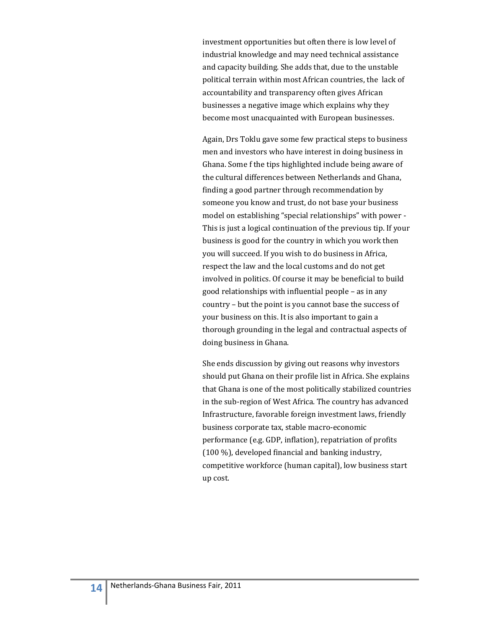investment opportunities but often there is low level of industrial knowledge and may need technical assistance and capacity building. She adds that, due to the unstable political terrain within most African countries, the lack of accountability and transparency often gives African businesses a negative image which explains why they become most unacquainted with European businesses.

Again, Drs Toklu gave some few practical steps to business men and investors who have interest in doing business in Ghana. Some f the tips highlighted include being aware of the cultural differences between Netherlands and Ghana, finding a good partner through recommendation by someone you know and trust, do not base your business model on establishing "special relationships" with power -This is just a logical continuation of the previous tip. If your business is good for the country in which you work then you will succeed. If you wish to do business in Africa, respect the law and the local customs and do not get involved in politics. Of course it may be beneficial to build good relationships with influential people  $-$  as in any country - but the point is you cannot base the success of your business on this. It is also important to gain a thorough grounding in the legal and contractual aspects of doing business in Ghana.

She ends discussion by giving out reasons why investors should put Ghana on their profile list in Africa. She explains that Ghana is one of the most politically stabilized countries in the sub-region of West Africa. The country has advanced Infrastructure, favorable foreign investment laws, friendly business corporate tax, stable macro-economic performance (e.g. GDP, inflation), repatriation of profits (100 %), developed financial and banking industry, competitive workforce (human capital), low business start up cost.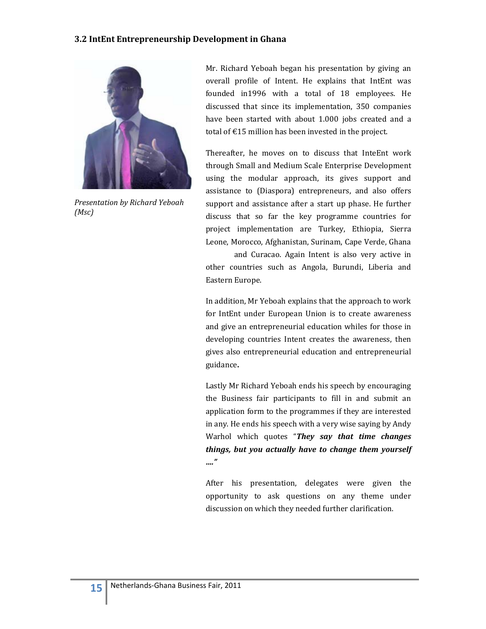#### **3.2 IntEnt Entrepreneurship Development in Ghana**



*Presentation by Richard Yeboah (Msc)*

Mr. Richard Yeboah began his presentation by giving an overall profile of Intent. He explains that IntEnt was founded in1996 with a total of 18 employees. He discussed that since its implementation, 350 companies have been started with about 1.000 jobs created and a total of  $E15$  million has been invested in the project.

Thereafter, he moves on to discuss that InteEnt work through Small and Medium Scale Enterprise Development using the modular approach, its gives support and assistance to (Diaspora) entrepreneurs, and also offers support and assistance after a start up phase. He further discuss that so far the key programme countries for project implementation are Turkey, Ethiopia, Sierra Leone, Morocco, Afghanistan, Surinam, Cape Verde, Ghana

and Curacao. Again Intent is also very active in other countries such as Angola, Burundi, Liberia and Eastern Europe.

In addition, Mr Yeboah explains that the approach to work for IntEnt under European Union is to create awareness and give an entrepreneurial education whiles for those in developing countries Intent creates the awareness, then gives also entrepreneurial education and entrepreneurial guidance**.** 

Lastly Mr Richard Yeboah ends his speech by encouraging the Business fair participants to fill in and submit an application form to the programmes if they are interested in any. He ends his speech with a very wise saying by Andy Warhol which quotes "*They say that time changes things, but you actually have to change them yourself …."*

After his presentation, delegates were given the opportunity to ask questions on any theme under discussion on which they needed further clarification.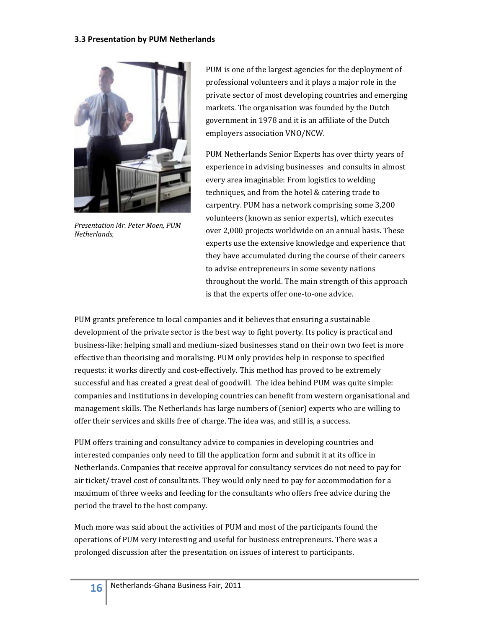#### **3.3 Presentation by PUM Netherlands**



*Presentation Mr. Peter Moen, PUM Netherlands,*

PUM is one of the largest agencies for the deployment of professional volunteers and it plays a major role in the private sector of most developing countries and emerging markets. The organisation was founded by the Dutch government in 1978 and it is an affiliate of the Dutch employers association VNO/NCW.

PUM Netherlands Senior Experts has over thirty years of experience in advising businesses and consults in almost every area imaginable: From logistics to welding techniques, and from the hotel & catering trade to carpentry. PUM has a network comprising some 3,200 volunteers (known as senior experts), which executes over 2,000 projects worldwide on an annual basis. These experts use the extensive knowledge and experience that they have accumulated during the course of their careers to advise entrepreneurs in some seventy nations throughout the world. The main strength of this approach is that the experts offer one-to-one advice.

PUM grants preference to local companies and it believes that ensuring a sustainable development of the private sector is the best way to fight poverty. Its policy is practical and business-like: helping small and medium-sized businesses stand on their own two feet is more effective than theorising and moralising. PUM only provides help in response to specified requests: it works directly and cost-effectively. This method has proved to be extremely successful and has created a great deal of goodwill. The idea behind PUM was quite simple: companies and institutions in developing countries can benefit from western organisational and management skills. The Netherlands has large numbers of (senior) experts who are willing to offer their services and skills free of charge. The idea was, and still is, a success.

PUM offers training and consultancy advice to companies in developing countries and interested companies only need to fill the application form and submit it at its office in Netherlands. Companies that receive approval for consultancy services do not need to pay for air ticket/ travel cost of consultants. They would only need to pay for accommodation for a maximum of three weeks and feeding for the consultants who offers free advice during the period the travel to the host company.

Much more was said about the activities of PUM and most of the participants found the operations of PUM very interesting and useful for business entrepreneurs. There was a prolonged discussion after the presentation on issues of interest to participants.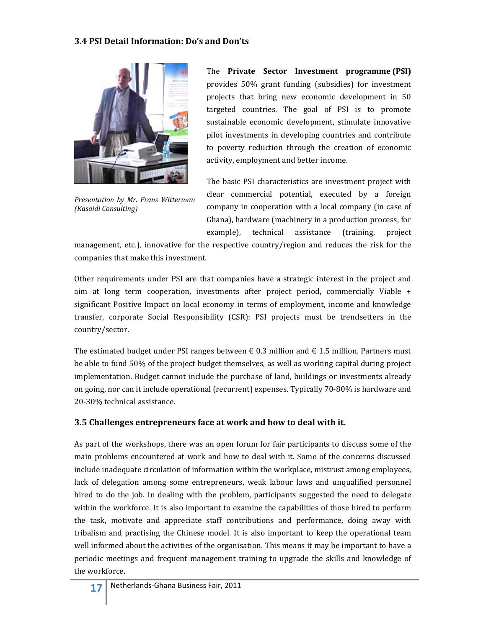

*Presentation by Mr. Frans Witterman (Kasaidi Consulting)*

The **Private Sector Investment programme (PSI)** provides 50% grant funding (subsidies) for investment projects that bring new economic development in 50 targeted countries. The goal of PSI is to promote sustainable economic development, stimulate innovative pilot investments in developing countries and contribute to poverty reduction through the creation of economic activity, employment and better income.

The basic PSI characteristics are investment project with clear commercial potential, executed by a foreign company in cooperation with a local company (in case of Ghana), hardware (machinery in a production process, for example), technical assistance (training, project

management, etc.), innovative for the respective country/region and reduces the risk for the companies that make this investment.

Other requirements under PSI are that companies have a strategic interest in the project and aim at long term cooperation, investments after project period, commercially Viable + significant Positive Impact on local economy in terms of employment, income and knowledge transfer, corporate Social Responsibility (CSR): PSI projects must be trendsetters in the country/sector. 

The estimated budget under PSI ranges between  $\epsilon$  0.3 million and  $\epsilon$  1.5 million. Partners must be able to fund  $50\%$  of the project budget themselves, as well as working capital during project implementation. Budget cannot include the purchase of land, buildings or investments already on going, nor can it include operational (recurrent) expenses. Typically 70-80% is hardware and 20-30% technical assistance.

# **3.5 Challenges entrepreneurs face at work and how to deal with it.**

As part of the workshops, there was an open forum for fair participants to discuss some of the main problems encountered at work and how to deal with it. Some of the concerns discussed include inadequate circulation of information within the workplace, mistrust among employees, lack of delegation among some entrepreneurs, weak labour laws and unqualified personnel hired to do the job. In dealing with the problem, participants suggested the need to delegate within the workforce. It is also important to examine the capabilities of those hired to perform the task, motivate and appreciate staff contributions and performance, doing away with tribalism and practising the Chinese model. It is also important to keep the operational team well informed about the activities of the organisation. This means it may be important to have a periodic meetings and frequent management training to upgrade the skills and knowledge of the workforce.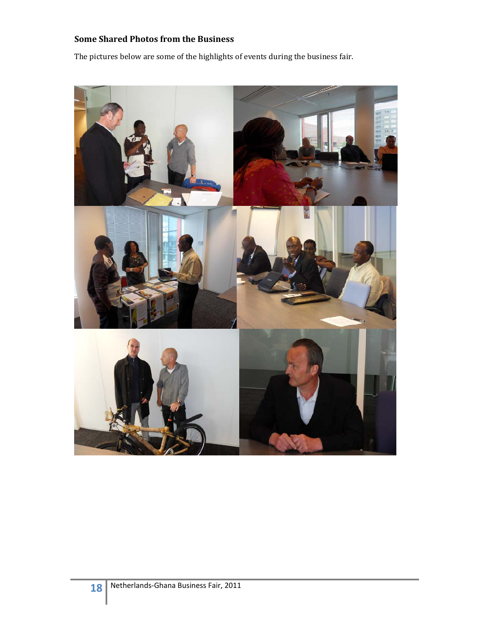# **Some Shared Photos from the Business**

The pictures below are some of the highlights of events during the business fair.

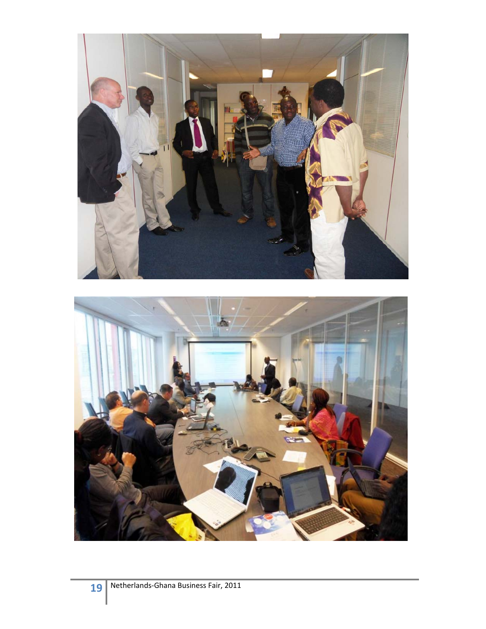

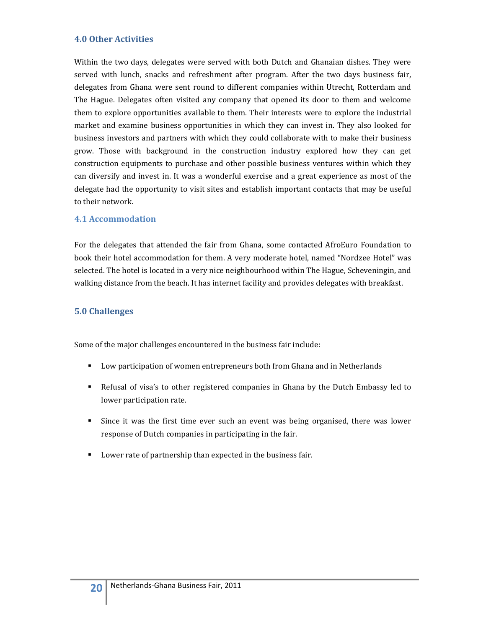#### **4.0 Other Activities**

Within the two days, delegates were served with both Dutch and Ghanaian dishes. They were served with lunch, snacks and refreshment after program. After the two days business fair, delegates from Ghana were sent round to different companies within Utrecht, Rotterdam and The Hague. Delegates often visited any company that opened its door to them and welcome them to explore opportunities available to them. Their interests were to explore the industrial market and examine business opportunities in which they can invest in. They also looked for business investors and partners with which they could collaborate with to make their business grow. Those with background in the construction industry explored how they can get construction equipments to purchase and other possible business ventures within which they can diversify and invest in. It was a wonderful exercise and a great experience as most of the delegate had the opportunity to visit sites and establish important contacts that may be useful to their network.

#### **4.1 Accommodation**

For the delegates that attended the fair from Ghana, some contacted AfroEuro Foundation to book their hotel accommodation for them. A very moderate hotel, named "Nordzee Hotel" was selected. The hotel is located in a very nice neighbourhood within The Hague, Scheveningin, and walking distance from the beach. It has internet facility and provides delegates with breakfast.

#### **5.0 Challenges**

Some of the major challenges encountered in the business fair include:

- Low participation of women entrepreneurs both from Ghana and in Netherlands
- **EXEL** Refusal of visa's to other registered companies in Ghana by the Dutch Embassy led to lower participation rate.
- If Since it was the first time ever such an event was being organised, there was lower response of Dutch companies in participating in the fair.
- $\blacksquare$  Lower rate of partnership than expected in the business fair.